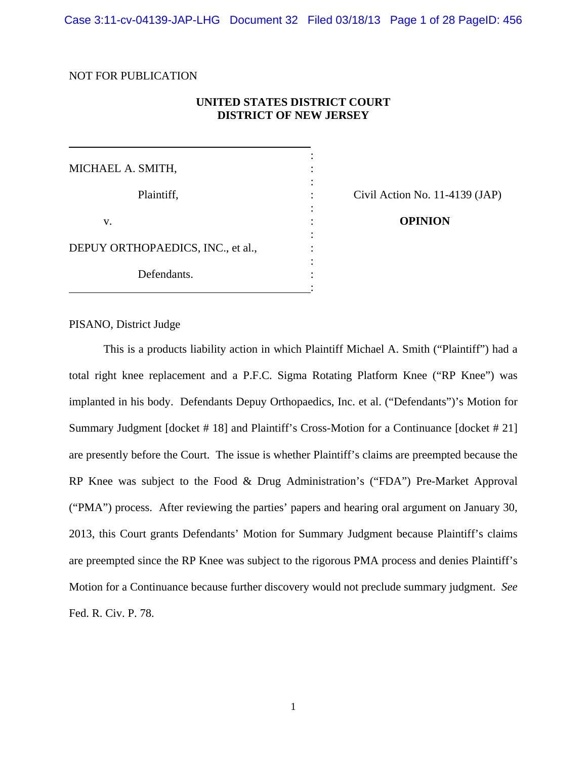Case 3:11-cv-04139-JAP-LHG Document 32 Filed 03/18/13 Page 1 of 28 PageID: 456

#### NOT FOR PUBLICATION

 $\overline{a}$ 

## **UNITED STATES DISTRICT COURT DISTRICT OF NEW JERSEY**

the contract of the contract of the contract of the contract of the contract of MICHAEL A. SMITH, : the contract of the contract of the contract of the contract of the contract of Plaintiff,  $\qquad \qquad$  : Civil Action No. 11-4139 (JAP) the contract of the contract of the contract of the contract of the contract of v. **OPINION** the contract of the contract of the contract of the contract of the contract of DEPUY ORTHOPAEDICS, INC., et al., the contract of the contract of the contract of the contract of the contract of Defendants.

<u>: Andrew Marian Maria (1989)</u>

PISANO, District Judge

This is a products liability action in which Plaintiff Michael A. Smith ("Plaintiff") had a total right knee replacement and a P.F.C. Sigma Rotating Platform Knee ("RP Knee") was implanted in his body. Defendants Depuy Orthopaedics, Inc. et al. ("Defendants")'s Motion for Summary Judgment [docket # 18] and Plaintiff's Cross-Motion for a Continuance [docket # 21] are presently before the Court. The issue is whether Plaintiff's claims are preempted because the RP Knee was subject to the Food & Drug Administration's ("FDA") Pre-Market Approval ("PMA") process. After reviewing the parties' papers and hearing oral argument on January 30, 2013, this Court grants Defendants' Motion for Summary Judgment because Plaintiff's claims are preempted since the RP Knee was subject to the rigorous PMA process and denies Plaintiff's Motion for a Continuance because further discovery would not preclude summary judgment. *See* Fed. R. Civ. P. 78.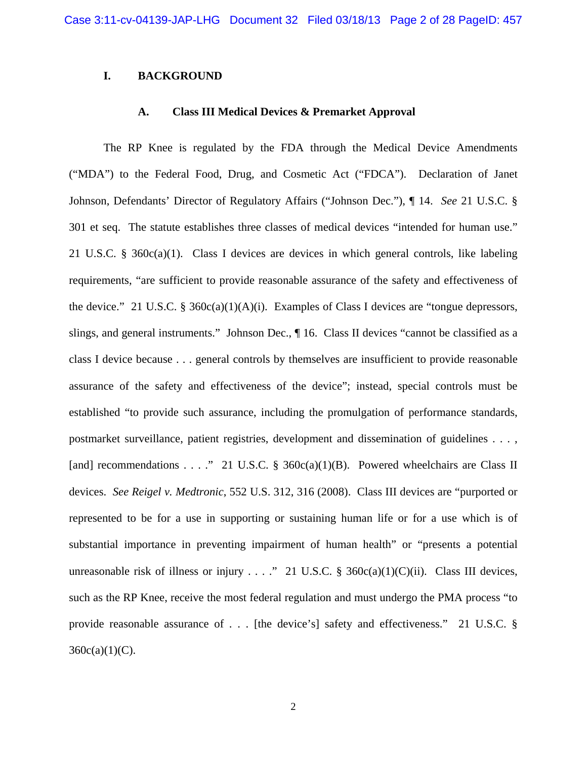## **I. BACKGROUND**

#### **A. Class III Medical Devices & Premarket Approval**

The RP Knee is regulated by the FDA through the Medical Device Amendments ("MDA") to the Federal Food, Drug, and Cosmetic Act ("FDCA"). Declaration of Janet Johnson, Defendants' Director of Regulatory Affairs ("Johnson Dec."), ¶ 14. *See* 21 U.S.C. § 301 et seq. The statute establishes three classes of medical devices "intended for human use." 21 U.S.C. § 360c(a)(1). Class I devices are devices in which general controls, like labeling requirements, "are sufficient to provide reasonable assurance of the safety and effectiveness of the device." 21 U.S.C. § 360 $c(a)(1)(A)(i)$ . Examples of Class I devices are "tongue depressors, slings, and general instruments." Johnson Dec., ¶ 16. Class II devices "cannot be classified as a class I device because . . . general controls by themselves are insufficient to provide reasonable assurance of the safety and effectiveness of the device"; instead, special controls must be established "to provide such assurance, including the promulgation of performance standards, postmarket surveillance, patient registries, development and dissemination of guidelines . . . , [and] recommendations . . . ." 21 U.S.C. § 360c(a)(1)(B). Powered wheelchairs are Class II devices. *See Reigel v. Medtronic*, 552 U.S. 312, 316 (2008). Class III devices are "purported or represented to be for a use in supporting or sustaining human life or for a use which is of substantial importance in preventing impairment of human health" or "presents a potential unreasonable risk of illness or injury . . . ." 21 U.S.C. § 360c(a)(1)(C)(ii). Class III devices, such as the RP Knee, receive the most federal regulation and must undergo the PMA process "to provide reasonable assurance of . . . [the device's] safety and effectiveness." 21 U.S.C. §  $360c(a)(1)(C)$ .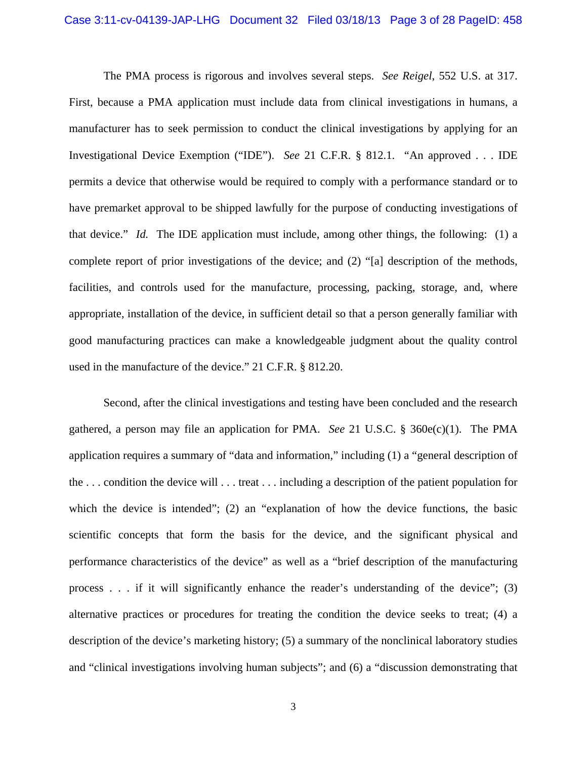The PMA process is rigorous and involves several steps. *See Reigel*, 552 U.S. at 317. First, because a PMA application must include data from clinical investigations in humans, a manufacturer has to seek permission to conduct the clinical investigations by applying for an Investigational Device Exemption ("IDE"). *See* 21 C.F.R. § 812.1. "An approved . . . IDE permits a device that otherwise would be required to comply with a performance standard or to have premarket approval to be shipped lawfully for the purpose of conducting investigations of that device." *Id.* The IDE application must include, among other things, the following: (1) a complete report of prior investigations of the device; and (2) "[a] description of the methods, facilities, and controls used for the manufacture, processing, packing, storage, and, where appropriate, installation of the device, in sufficient detail so that a person generally familiar with good manufacturing practices can make a knowledgeable judgment about the quality control used in the manufacture of the device." 21 C.F.R. § 812.20.

Second, after the clinical investigations and testing have been concluded and the research gathered, a person may file an application for PMA. *See* 21 U.S.C. § 360e(c)(1). The PMA application requires a summary of "data and information," including (1) a "general description of the . . . condition the device will . . . treat . . . including a description of the patient population for which the device is intended"; (2) an "explanation of how the device functions, the basic scientific concepts that form the basis for the device, and the significant physical and performance characteristics of the device" as well as a "brief description of the manufacturing process . . . if it will significantly enhance the reader's understanding of the device"; (3) alternative practices or procedures for treating the condition the device seeks to treat; (4) a description of the device's marketing history; (5) a summary of the nonclinical laboratory studies and "clinical investigations involving human subjects"; and (6) a "discussion demonstrating that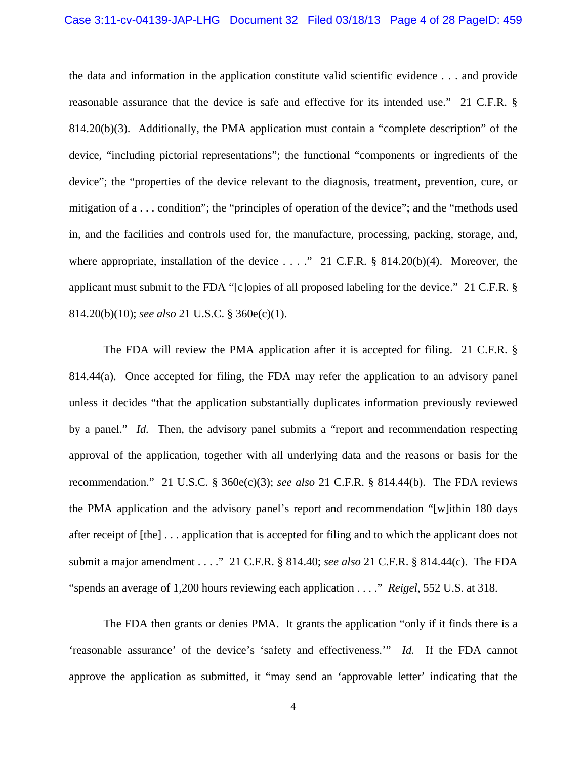#### Case 3:11-cv-04139-JAP-LHG Document 32 Filed 03/18/13 Page 4 of 28 PageID: 459

the data and information in the application constitute valid scientific evidence . . . and provide reasonable assurance that the device is safe and effective for its intended use." 21 C.F.R. § 814.20(b)(3). Additionally, the PMA application must contain a "complete description" of the device, "including pictorial representations"; the functional "components or ingredients of the device"; the "properties of the device relevant to the diagnosis, treatment, prevention, cure, or mitigation of a . . . condition"; the "principles of operation of the device"; and the "methods used in, and the facilities and controls used for, the manufacture, processing, packing, storage, and, where appropriate, installation of the device  $\dots$  ." 21 C.F.R. § 814.20(b)(4). Moreover, the applicant must submit to the FDA "[c]opies of all proposed labeling for the device." 21 C.F.R. § 814.20(b)(10); *see also* 21 U.S.C. § 360e(c)(1).

The FDA will review the PMA application after it is accepted for filing. 21 C.F.R. § 814.44(a). Once accepted for filing, the FDA may refer the application to an advisory panel unless it decides "that the application substantially duplicates information previously reviewed by a panel." *Id.* Then, the advisory panel submits a "report and recommendation respecting approval of the application, together with all underlying data and the reasons or basis for the recommendation." 21 U.S.C. § 360e(c)(3); *see also* 21 C.F.R. § 814.44(b). The FDA reviews the PMA application and the advisory panel's report and recommendation "[w]ithin 180 days after receipt of [the] . . . application that is accepted for filing and to which the applicant does not submit a major amendment . . . ." 21 C.F.R. § 814.40; *see also* 21 C.F.R. § 814.44(c). The FDA "spends an average of 1,200 hours reviewing each application . . . ." *Reigel*, 552 U.S. at 318.

The FDA then grants or denies PMA. It grants the application "only if it finds there is a 'reasonable assurance' of the device's 'safety and effectiveness.'" *Id.* If the FDA cannot approve the application as submitted, it "may send an 'approvable letter' indicating that the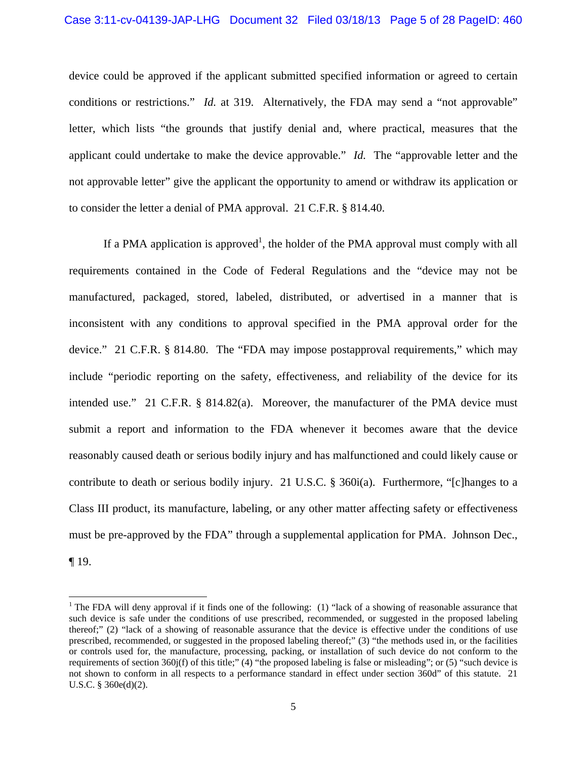device could be approved if the applicant submitted specified information or agreed to certain conditions or restrictions." *Id.* at 319. Alternatively, the FDA may send a "not approvable" letter, which lists "the grounds that justify denial and, where practical, measures that the applicant could undertake to make the device approvable." *Id.* The "approvable letter and the not approvable letter" give the applicant the opportunity to amend or withdraw its application or to consider the letter a denial of PMA approval. 21 C.F.R. § 814.40.

If a PMA application is approved<sup>1</sup>, the holder of the PMA approval must comply with all requirements contained in the Code of Federal Regulations and the "device may not be manufactured, packaged, stored, labeled, distributed, or advertised in a manner that is inconsistent with any conditions to approval specified in the PMA approval order for the device." 21 C.F.R. § 814.80. The "FDA may impose postapproval requirements," which may include "periodic reporting on the safety, effectiveness, and reliability of the device for its intended use." 21 C.F.R. § 814.82(a). Moreover, the manufacturer of the PMA device must submit a report and information to the FDA whenever it becomes aware that the device reasonably caused death or serious bodily injury and has malfunctioned and could likely cause or contribute to death or serious bodily injury. 21 U.S.C. § 360i(a). Furthermore, "[c]hanges to a Class III product, its manufacture, labeling, or any other matter affecting safety or effectiveness must be pre-approved by the FDA" through a supplemental application for PMA. Johnson Dec., ¶ 19.

l

<sup>&</sup>lt;sup>1</sup> The FDA will deny approval if it finds one of the following: (1) "lack of a showing of reasonable assurance that such device is safe under the conditions of use prescribed, recommended, or suggested in the proposed labeling thereof;" (2) "lack of a showing of reasonable assurance that the device is effective under the conditions of use prescribed, recommended, or suggested in the proposed labeling thereof;" (3) "the methods used in, or the facilities or controls used for, the manufacture, processing, packing, or installation of such device do not conform to the requirements of section  $360j(f)$  of this title;" (4) "the proposed labeling is false or misleading"; or (5) "such device is not shown to conform in all respects to a performance standard in effect under section 360d" of this statute. 21 U.S.C. § 360e(d)(2).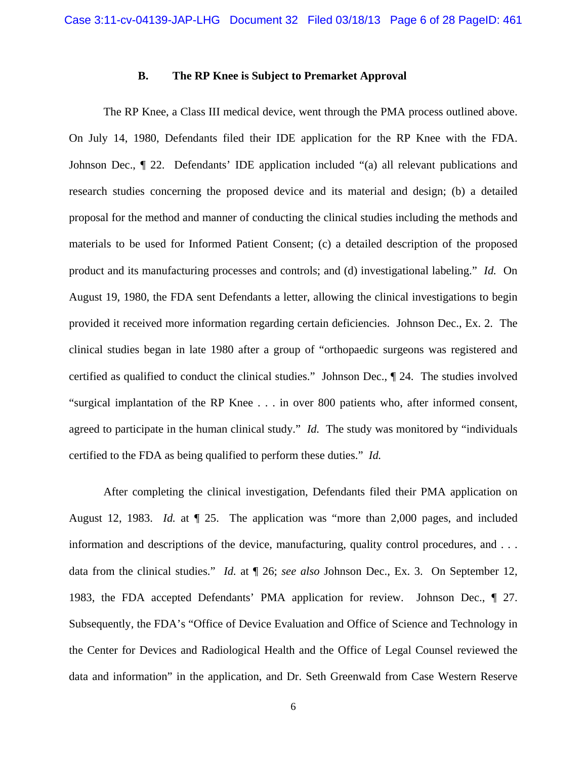#### **B. The RP Knee is Subject to Premarket Approval**

The RP Knee, a Class III medical device, went through the PMA process outlined above. On July 14, 1980, Defendants filed their IDE application for the RP Knee with the FDA. Johnson Dec., ¶ 22. Defendants' IDE application included "(a) all relevant publications and research studies concerning the proposed device and its material and design; (b) a detailed proposal for the method and manner of conducting the clinical studies including the methods and materials to be used for Informed Patient Consent; (c) a detailed description of the proposed product and its manufacturing processes and controls; and (d) investigational labeling." *Id.* On August 19, 1980, the FDA sent Defendants a letter, allowing the clinical investigations to begin provided it received more information regarding certain deficiencies. Johnson Dec., Ex. 2. The clinical studies began in late 1980 after a group of "orthopaedic surgeons was registered and certified as qualified to conduct the clinical studies." Johnson Dec., ¶ 24. The studies involved "surgical implantation of the RP Knee . . . in over 800 patients who, after informed consent, agreed to participate in the human clinical study." *Id.* The study was monitored by "individuals certified to the FDA as being qualified to perform these duties." *Id.*

After completing the clinical investigation, Defendants filed their PMA application on August 12, 1983. *Id.* at ¶ 25. The application was "more than 2,000 pages, and included information and descriptions of the device, manufacturing, quality control procedures, and . . . data from the clinical studies." *Id.* at ¶ 26; *see also* Johnson Dec., Ex. 3. On September 12, 1983, the FDA accepted Defendants' PMA application for review. Johnson Dec., ¶ 27. Subsequently, the FDA's "Office of Device Evaluation and Office of Science and Technology in the Center for Devices and Radiological Health and the Office of Legal Counsel reviewed the data and information" in the application, and Dr. Seth Greenwald from Case Western Reserve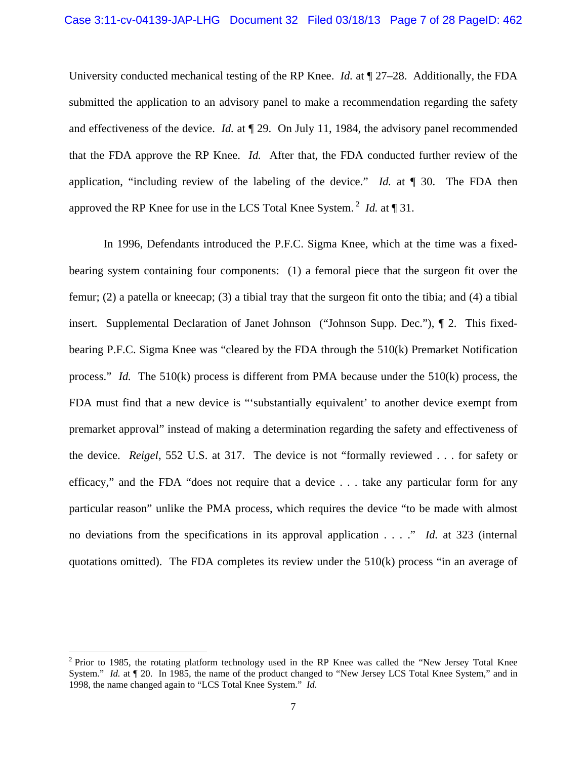University conducted mechanical testing of the RP Knee. *Id.* at ¶ 27–28. Additionally, the FDA submitted the application to an advisory panel to make a recommendation regarding the safety and effectiveness of the device. *Id.* at ¶ 29. On July 11, 1984, the advisory panel recommended that the FDA approve the RP Knee. *Id.* After that, the FDA conducted further review of the application, "including review of the labeling of the device." *Id.* at ¶ 30. The FDA then approved the RP Knee for use in the LCS Total Knee System. 2 *Id.* at ¶ 31.

In 1996, Defendants introduced the P.F.C. Sigma Knee, which at the time was a fixedbearing system containing four components: (1) a femoral piece that the surgeon fit over the femur; (2) a patella or kneecap; (3) a tibial tray that the surgeon fit onto the tibia; and (4) a tibial insert. Supplemental Declaration of Janet Johnson ("Johnson Supp. Dec."), ¶ 2. This fixedbearing P.F.C. Sigma Knee was "cleared by the FDA through the 510(k) Premarket Notification process." *Id.* The 510(k) process is different from PMA because under the 510(k) process, the FDA must find that a new device is "'substantially equivalent' to another device exempt from premarket approval" instead of making a determination regarding the safety and effectiveness of the device. *Reigel*, 552 U.S. at 317. The device is not "formally reviewed . . . for safety or efficacy," and the FDA "does not require that a device . . . take any particular form for any particular reason" unlike the PMA process, which requires the device "to be made with almost no deviations from the specifications in its approval application . . . ." *Id.* at 323 (internal quotations omitted). The FDA completes its review under the 510(k) process "in an average of

l

 $2$  Prior to 1985, the rotating platform technology used in the RP Knee was called the "New Jersey Total Knee System." *Id.* at  $\P$  20. In 1985, the name of the product changed to "New Jersey LCS Total Knee System," and in 1998, the name changed again to "LCS Total Knee System." *Id.*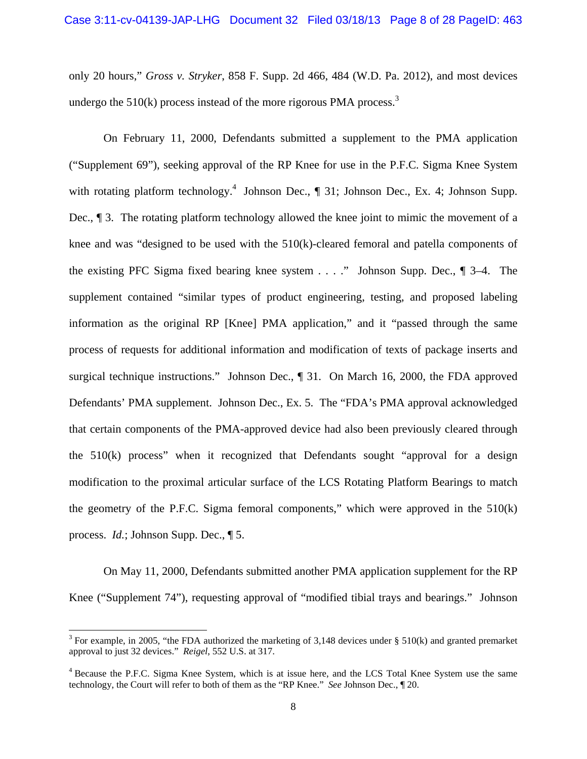only 20 hours," *Gross v. Stryker*, 858 F. Supp. 2d 466, 484 (W.D. Pa. 2012), and most devices undergo the  $510(k)$  process instead of the more rigorous PMA process.<sup>3</sup>

On February 11, 2000, Defendants submitted a supplement to the PMA application ("Supplement 69"), seeking approval of the RP Knee for use in the P.F.C. Sigma Knee System with rotating platform technology.<sup>4</sup> Johnson Dec., ¶ 31; Johnson Dec., Ex. 4; Johnson Supp. Dec., ¶ 3. The rotating platform technology allowed the knee joint to mimic the movement of a knee and was "designed to be used with the 510(k)-cleared femoral and patella components of the existing PFC Sigma fixed bearing knee system . . . ." Johnson Supp. Dec., ¶ 3–4. The supplement contained "similar types of product engineering, testing, and proposed labeling information as the original RP [Knee] PMA application," and it "passed through the same process of requests for additional information and modification of texts of package inserts and surgical technique instructions." Johnson Dec., ¶ 31. On March 16, 2000, the FDA approved Defendants' PMA supplement. Johnson Dec., Ex. 5. The "FDA's PMA approval acknowledged that certain components of the PMA-approved device had also been previously cleared through the 510(k) process" when it recognized that Defendants sought "approval for a design modification to the proximal articular surface of the LCS Rotating Platform Bearings to match the geometry of the P.F.C. Sigma femoral components," which were approved in the  $510(k)$ process. *Id.*; Johnson Supp. Dec., ¶ 5.

On May 11, 2000, Defendants submitted another PMA application supplement for the RP Knee ("Supplement 74"), requesting approval of "modified tibial trays and bearings." Johnson

l

<sup>&</sup>lt;sup>3</sup> For example, in 2005, "the FDA authorized the marketing of 3,148 devices under § 510(k) and granted premarket approval to just 32 devices." *Reigel*, 552 U.S. at 317.

<sup>&</sup>lt;sup>4</sup> Because the P.F.C. Sigma Knee System, which is at issue here, and the LCS Total Knee System use the same technology, the Court will refer to both of them as the "RP Knee." *See* Johnson Dec., ¶ 20.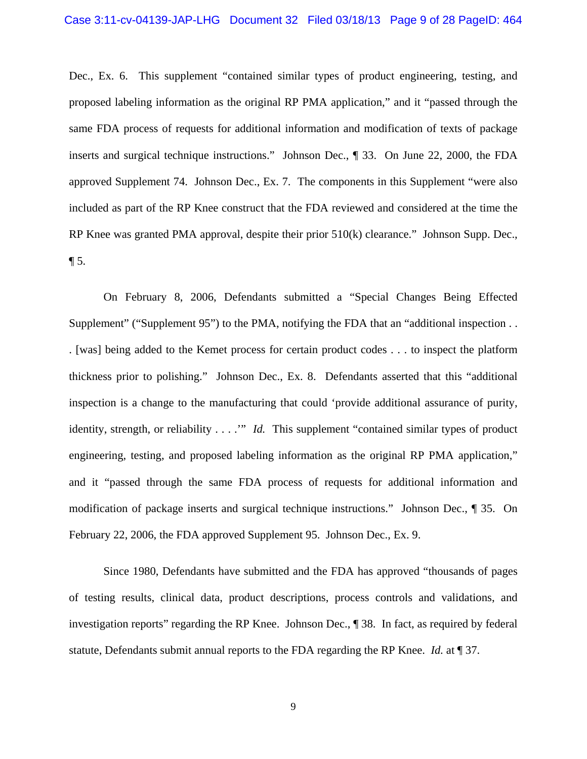#### Case 3:11-cv-04139-JAP-LHG Document 32 Filed 03/18/13 Page 9 of 28 PageID: 464

Dec., Ex. 6. This supplement "contained similar types of product engineering, testing, and proposed labeling information as the original RP PMA application," and it "passed through the same FDA process of requests for additional information and modification of texts of package inserts and surgical technique instructions." Johnson Dec., ¶ 33. On June 22, 2000, the FDA approved Supplement 74. Johnson Dec., Ex. 7. The components in this Supplement "were also included as part of the RP Knee construct that the FDA reviewed and considered at the time the RP Knee was granted PMA approval, despite their prior 510(k) clearance." Johnson Supp. Dec.,  $\P$  5.

On February 8, 2006, Defendants submitted a "Special Changes Being Effected Supplement" ("Supplement 95") to the PMA, notifying the FDA that an "additional inspection... . [was] being added to the Kemet process for certain product codes . . . to inspect the platform thickness prior to polishing." Johnson Dec., Ex. 8. Defendants asserted that this "additional inspection is a change to the manufacturing that could 'provide additional assurance of purity, identity, strength, or reliability . . . .'" *Id.* This supplement "contained similar types of product engineering, testing, and proposed labeling information as the original RP PMA application," and it "passed through the same FDA process of requests for additional information and modification of package inserts and surgical technique instructions." Johnson Dec., ¶ 35. On February 22, 2006, the FDA approved Supplement 95. Johnson Dec., Ex. 9.

Since 1980, Defendants have submitted and the FDA has approved "thousands of pages of testing results, clinical data, product descriptions, process controls and validations, and investigation reports" regarding the RP Knee. Johnson Dec., ¶ 38. In fact, as required by federal statute, Defendants submit annual reports to the FDA regarding the RP Knee. *Id.* at ¶ 37.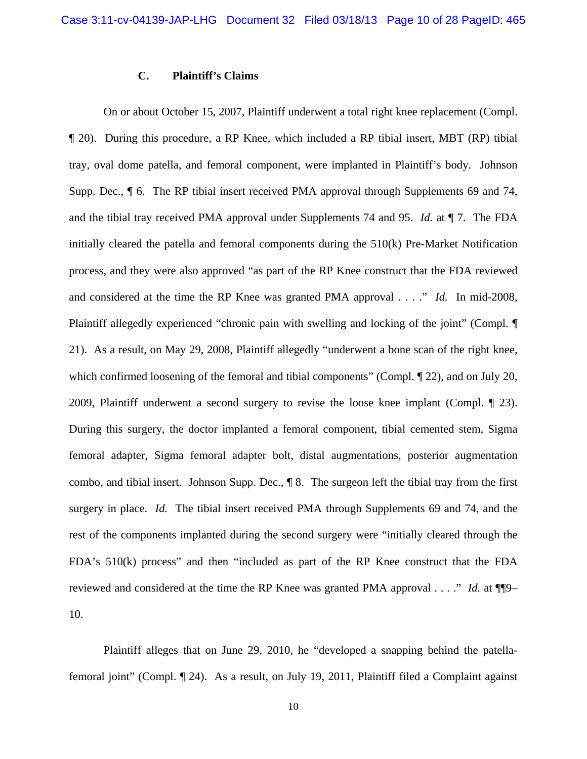#### **C. Plaintiff's Claims**

On or about October 15, 2007, Plaintiff underwent a total right knee replacement (Compl. ¶ 20). During this procedure, a RP Knee, which included a RP tibial insert, MBT (RP) tibial tray, oval dome patella, and femoral component, were implanted in Plaintiff's body. Johnson Supp. Dec.,  $\P$  6. The RP tibial insert received PMA approval through Supplements 69 and 74, and the tibial tray received PMA approval under Supplements 74 and 95. *Id.* at ¶ 7. The FDA initially cleared the patella and femoral components during the 510(k) Pre-Market Notification process, and they were also approved "as part of the RP Knee construct that the FDA reviewed and considered at the time the RP Knee was granted PMA approval . . . ." *Id.* In mid-2008, Plaintiff allegedly experienced "chronic pain with swelling and locking of the joint" (Compl. ¶ 21). As a result, on May 29, 2008, Plaintiff allegedly "underwent a bone scan of the right knee, which confirmed loosening of the femoral and tibial components" (Compl.  $\P$  22), and on July 20, 2009, Plaintiff underwent a second surgery to revise the loose knee implant (Compl. ¶ 23). During this surgery, the doctor implanted a femoral component, tibial cemented stem, Sigma femoral adapter, Sigma femoral adapter bolt, distal augmentations, posterior augmentation combo, and tibial insert. Johnson Supp. Dec., ¶ 8. The surgeon left the tibial tray from the first surgery in place. *Id.* The tibial insert received PMA through Supplements 69 and 74, and the rest of the components implanted during the second surgery were "initially cleared through the FDA's 510(k) process" and then "included as part of the RP Knee construct that the FDA reviewed and considered at the time the RP Knee was granted PMA approval . . . ." *Id.* at ¶¶9– 10.

Plaintiff alleges that on June 29, 2010, he "developed a snapping behind the patellafemoral joint" (Compl. ¶ 24). As a result, on July 19, 2011, Plaintiff filed a Complaint against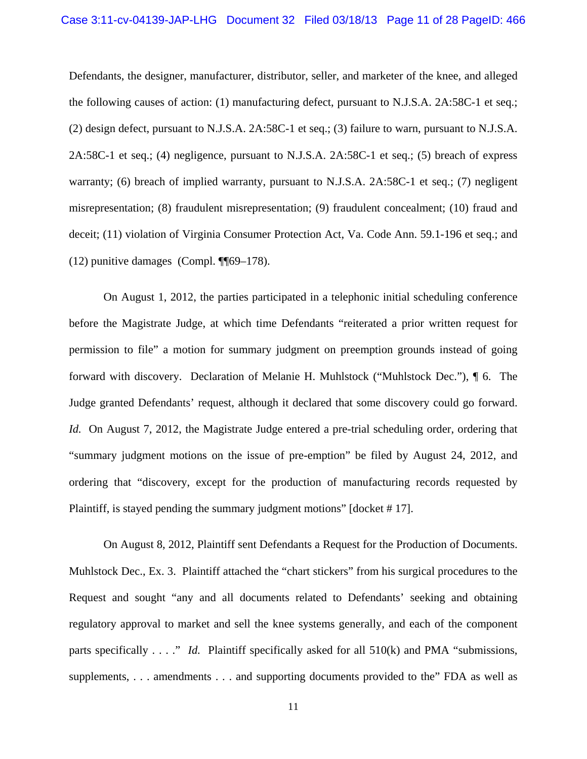Defendants, the designer, manufacturer, distributor, seller, and marketer of the knee, and alleged the following causes of action: (1) manufacturing defect, pursuant to N.J.S.A. 2A:58C-1 et seq.; (2) design defect, pursuant to N.J.S.A. 2A:58C-1 et seq.; (3) failure to warn, pursuant to N.J.S.A. 2A:58C-1 et seq.; (4) negligence, pursuant to N.J.S.A. 2A:58C-1 et seq.; (5) breach of express warranty; (6) breach of implied warranty, pursuant to N.J.S.A. 2A:58C-1 et seq.; (7) negligent misrepresentation; (8) fraudulent misrepresentation; (9) fraudulent concealment; (10) fraud and deceit; (11) violation of Virginia Consumer Protection Act, Va. Code Ann. 59.1-196 et seq.; and (12) punitive damages (Compl. ¶¶69–178).

On August 1, 2012, the parties participated in a telephonic initial scheduling conference before the Magistrate Judge, at which time Defendants "reiterated a prior written request for permission to file" a motion for summary judgment on preemption grounds instead of going forward with discovery. Declaration of Melanie H. Muhlstock ("Muhlstock Dec."), ¶ 6. The Judge granted Defendants' request, although it declared that some discovery could go forward. *Id.* On August 7, 2012, the Magistrate Judge entered a pre-trial scheduling order, ordering that "summary judgment motions on the issue of pre-emption" be filed by August 24, 2012, and ordering that "discovery, except for the production of manufacturing records requested by Plaintiff, is stayed pending the summary judgment motions" [docket # 17].

On August 8, 2012, Plaintiff sent Defendants a Request for the Production of Documents. Muhlstock Dec., Ex. 3. Plaintiff attached the "chart stickers" from his surgical procedures to the Request and sought "any and all documents related to Defendants' seeking and obtaining regulatory approval to market and sell the knee systems generally, and each of the component parts specifically . . . ." *Id.* Plaintiff specifically asked for all 510(k) and PMA "submissions, supplements, . . . amendments . . . and supporting documents provided to the" FDA as well as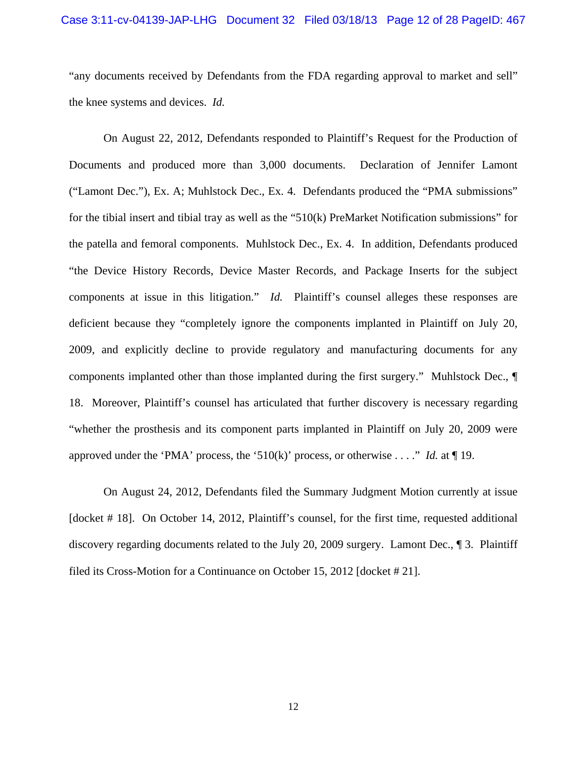#### Case 3:11-cv-04139-JAP-LHG Document 32 Filed 03/18/13 Page 12 of 28 PageID: 467

"any documents received by Defendants from the FDA regarding approval to market and sell" the knee systems and devices. *Id.* 

On August 22, 2012, Defendants responded to Plaintiff's Request for the Production of Documents and produced more than 3,000 documents. Declaration of Jennifer Lamont ("Lamont Dec."), Ex. A; Muhlstock Dec., Ex. 4. Defendants produced the "PMA submissions" for the tibial insert and tibial tray as well as the "510(k) PreMarket Notification submissions" for the patella and femoral components. Muhlstock Dec., Ex. 4. In addition, Defendants produced "the Device History Records, Device Master Records, and Package Inserts for the subject components at issue in this litigation." *Id.* Plaintiff's counsel alleges these responses are deficient because they "completely ignore the components implanted in Plaintiff on July 20, 2009, and explicitly decline to provide regulatory and manufacturing documents for any components implanted other than those implanted during the first surgery." Muhlstock Dec., ¶ 18. Moreover, Plaintiff's counsel has articulated that further discovery is necessary regarding "whether the prosthesis and its component parts implanted in Plaintiff on July 20, 2009 were approved under the 'PMA' process, the '510(k)' process, or otherwise . . . ." *Id.* at ¶ 19.

On August 24, 2012, Defendants filed the Summary Judgment Motion currently at issue [docket # 18]. On October 14, 2012, Plaintiff's counsel, for the first time, requested additional discovery regarding documents related to the July 20, 2009 surgery. Lamont Dec., ¶ 3. Plaintiff filed its Cross-Motion for a Continuance on October 15, 2012 [docket # 21].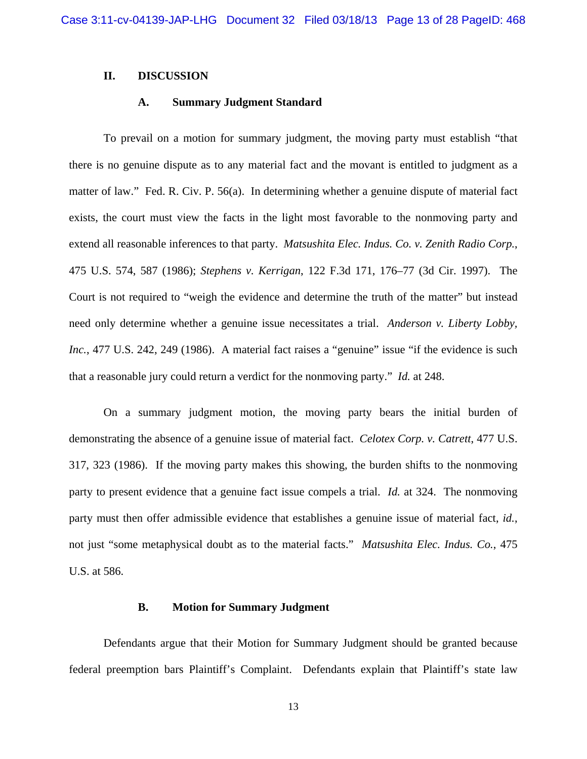#### **II. DISCUSSION**

#### **A. Summary Judgment Standard**

To prevail on a motion for summary judgment, the moving party must establish "that there is no genuine dispute as to any material fact and the movant is entitled to judgment as a matter of law." Fed. R. Civ. P. 56(a). In determining whether a genuine dispute of material fact exists, the court must view the facts in the light most favorable to the nonmoving party and extend all reasonable inferences to that party. *Matsushita Elec. Indus. Co. v. Zenith Radio Corp.*, 475 U.S. 574, 587 (1986); *Stephens v. Kerrigan*, 122 F.3d 171, 176–77 (3d Cir. 1997). The Court is not required to "weigh the evidence and determine the truth of the matter" but instead need only determine whether a genuine issue necessitates a trial. *Anderson v. Liberty Lobby, Inc.*, 477 U.S. 242, 249 (1986). A material fact raises a "genuine" issue "if the evidence is such that a reasonable jury could return a verdict for the nonmoving party." *Id.* at 248.

On a summary judgment motion, the moving party bears the initial burden of demonstrating the absence of a genuine issue of material fact. *Celotex Corp. v. Catrett*, 477 U.S. 317, 323 (1986). If the moving party makes this showing, the burden shifts to the nonmoving party to present evidence that a genuine fact issue compels a trial. *Id.* at 324. The nonmoving party must then offer admissible evidence that establishes a genuine issue of material fact, *id.*, not just "some metaphysical doubt as to the material facts." *Matsushita Elec. Indus. Co.*, 475 U.S. at 586.

#### **B. Motion for Summary Judgment**

Defendants argue that their Motion for Summary Judgment should be granted because federal preemption bars Plaintiff's Complaint. Defendants explain that Plaintiff's state law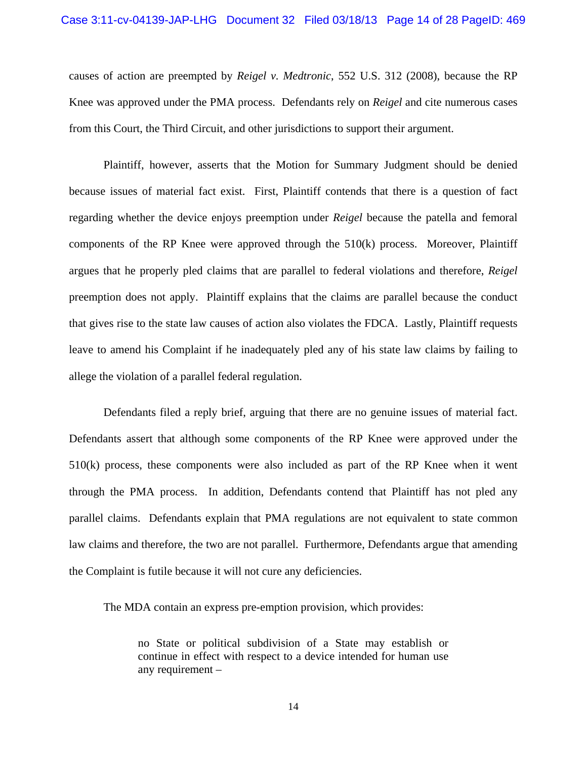# Case 3:11-cv-04139-JAP-LHG Document 32 Filed 03/18/13 Page 14 of 28 PageID: 469

causes of action are preempted by *Reigel v. Medtronic*, 552 U.S. 312 (2008), because the RP Knee was approved under the PMA process. Defendants rely on *Reigel* and cite numerous cases from this Court, the Third Circuit, and other jurisdictions to support their argument.

Plaintiff, however, asserts that the Motion for Summary Judgment should be denied because issues of material fact exist. First, Plaintiff contends that there is a question of fact regarding whether the device enjoys preemption under *Reigel* because the patella and femoral components of the RP Knee were approved through the  $510(k)$  process. Moreover, Plaintiff argues that he properly pled claims that are parallel to federal violations and therefore, *Reigel* preemption does not apply. Plaintiff explains that the claims are parallel because the conduct that gives rise to the state law causes of action also violates the FDCA. Lastly, Plaintiff requests leave to amend his Complaint if he inadequately pled any of his state law claims by failing to allege the violation of a parallel federal regulation.

Defendants filed a reply brief, arguing that there are no genuine issues of material fact. Defendants assert that although some components of the RP Knee were approved under the 510(k) process, these components were also included as part of the RP Knee when it went through the PMA process. In addition, Defendants contend that Plaintiff has not pled any parallel claims. Defendants explain that PMA regulations are not equivalent to state common law claims and therefore, the two are not parallel. Furthermore, Defendants argue that amending the Complaint is futile because it will not cure any deficiencies.

The MDA contain an express pre-emption provision, which provides:

no State or political subdivision of a State may establish or continue in effect with respect to a device intended for human use any requirement –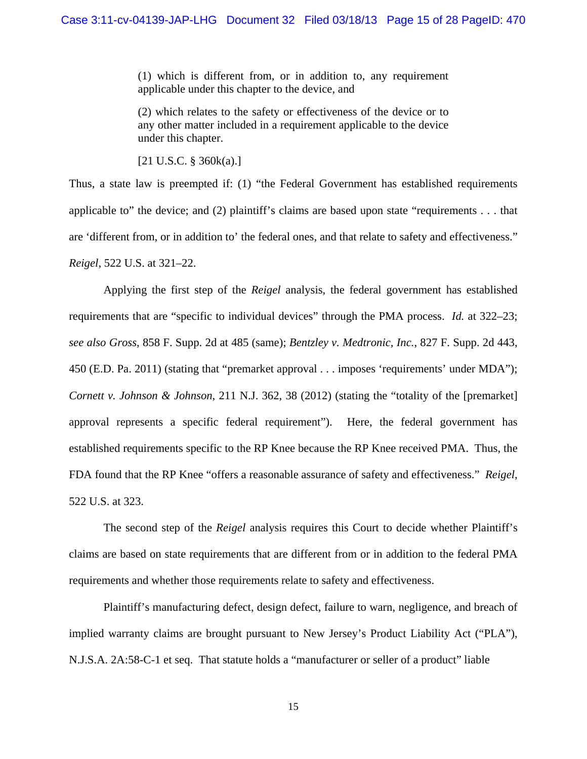(1) which is different from, or in addition to, any requirement applicable under this chapter to the device, and

(2) which relates to the safety or effectiveness of the device or to any other matter included in a requirement applicable to the device under this chapter.

[21 U.S.C. § 360k(a).]

Thus, a state law is preempted if: (1) "the Federal Government has established requirements applicable to" the device; and (2) plaintiff's claims are based upon state "requirements . . . that are 'different from, or in addition to' the federal ones, and that relate to safety and effectiveness." *Reigel*, 522 U.S. at 321–22.

Applying the first step of the *Reigel* analysis, the federal government has established requirements that are "specific to individual devices" through the PMA process. *Id.* at 322–23; *see also Gross*, 858 F. Supp. 2d at 485 (same); *Bentzley v. Medtronic, Inc.*, 827 F. Supp. 2d 443, 450 (E.D. Pa. 2011) (stating that "premarket approval . . . imposes 'requirements' under MDA"); *Cornett v. Johnson & Johnson*, 211 N.J. 362, 38 (2012) (stating the "totality of the [premarket] approval represents a specific federal requirement"). Here, the federal government has established requirements specific to the RP Knee because the RP Knee received PMA. Thus, the FDA found that the RP Knee "offers a reasonable assurance of safety and effectiveness." *Reigel*, 522 U.S. at 323.

The second step of the *Reigel* analysis requires this Court to decide whether Plaintiff's claims are based on state requirements that are different from or in addition to the federal PMA requirements and whether those requirements relate to safety and effectiveness.

Plaintiff's manufacturing defect, design defect, failure to warn, negligence, and breach of implied warranty claims are brought pursuant to New Jersey's Product Liability Act ("PLA"), N.J.S.A. 2A:58-C-1 et seq. That statute holds a "manufacturer or seller of a product" liable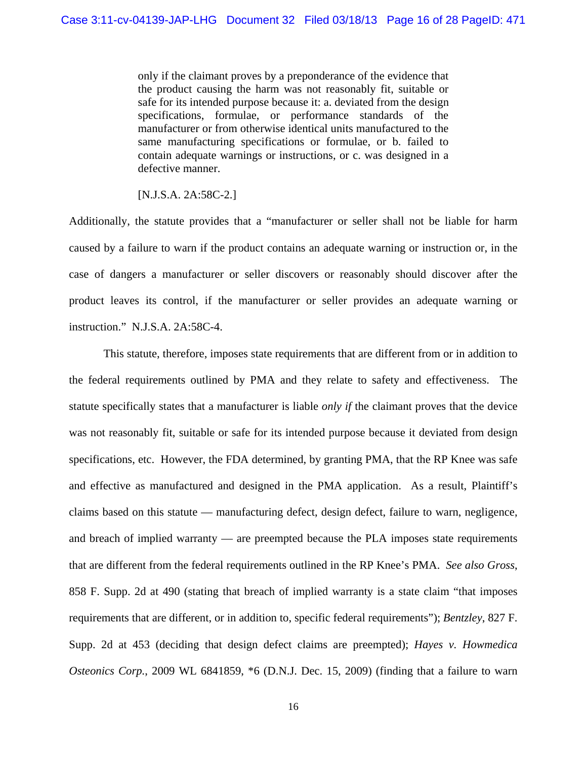only if the claimant proves by a preponderance of the evidence that the product causing the harm was not reasonably fit, suitable or safe for its intended purpose because it: a. deviated from the design specifications, formulae, or performance standards of the manufacturer or from otherwise identical units manufactured to the same manufacturing specifications or formulae, or b. failed to contain adequate warnings or instructions, or c. was designed in a defective manner.

[N.J.S.A. 2A:58C-2.]

Additionally, the statute provides that a "manufacturer or seller shall not be liable for harm caused by a failure to warn if the product contains an adequate warning or instruction or, in the case of dangers a manufacturer or seller discovers or reasonably should discover after the product leaves its control, if the manufacturer or seller provides an adequate warning or instruction." N.J.S.A. 2A:58C-4.

This statute, therefore, imposes state requirements that are different from or in addition to the federal requirements outlined by PMA and they relate to safety and effectiveness. The statute specifically states that a manufacturer is liable *only if* the claimant proves that the device was not reasonably fit, suitable or safe for its intended purpose because it deviated from design specifications, etc. However, the FDA determined, by granting PMA, that the RP Knee was safe and effective as manufactured and designed in the PMA application. As a result, Plaintiff's claims based on this statute — manufacturing defect, design defect, failure to warn, negligence, and breach of implied warranty — are preempted because the PLA imposes state requirements that are different from the federal requirements outlined in the RP Knee's PMA. *See also Gross*, 858 F. Supp. 2d at 490 (stating that breach of implied warranty is a state claim "that imposes requirements that are different, or in addition to, specific federal requirements"); *Bentzley*, 827 F. Supp. 2d at 453 (deciding that design defect claims are preempted); *Hayes v. Howmedica Osteonics Corp.*, 2009 WL 6841859, \*6 (D.N.J. Dec. 15, 2009) (finding that a failure to warn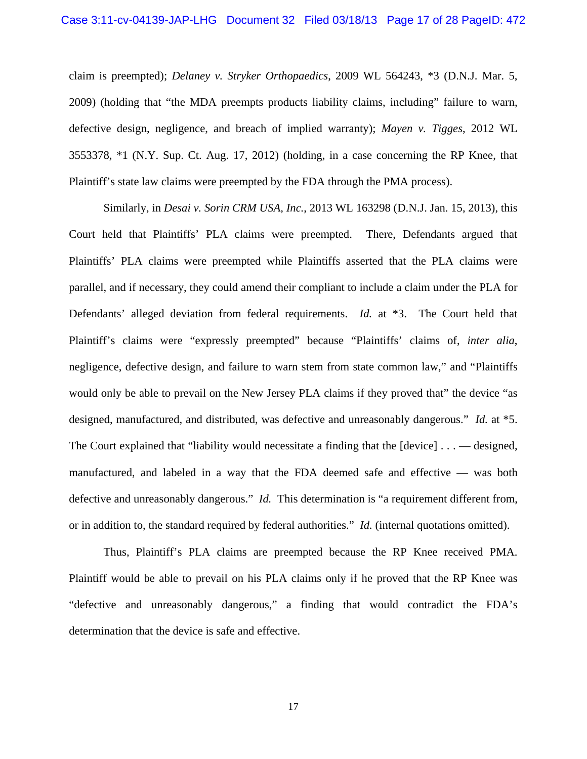claim is preempted); *Delaney v. Stryker Orthopaedics*, 2009 WL 564243, \*3 (D.N.J. Mar. 5, 2009) (holding that "the MDA preempts products liability claims, including" failure to warn, defective design, negligence, and breach of implied warranty); *Mayen v. Tigges*, 2012 WL 3553378, \*1 (N.Y. Sup. Ct. Aug. 17, 2012) (holding, in a case concerning the RP Knee, that Plaintiff's state law claims were preempted by the FDA through the PMA process).

Similarly, in *Desai v. Sorin CRM USA, Inc.*, 2013 WL 163298 (D.N.J. Jan. 15, 2013), this Court held that Plaintiffs' PLA claims were preempted. There, Defendants argued that Plaintiffs' PLA claims were preempted while Plaintiffs asserted that the PLA claims were parallel, and if necessary, they could amend their compliant to include a claim under the PLA for Defendants' alleged deviation from federal requirements. *Id.* at \*3. The Court held that Plaintiff's claims were "expressly preempted" because "Plaintiffs' claims of, *inter alia*, negligence, defective design, and failure to warn stem from state common law," and "Plaintiffs would only be able to prevail on the New Jersey PLA claims if they proved that" the device "as designed, manufactured, and distributed, was defective and unreasonably dangerous." *Id.* at \*5. The Court explained that "liability would necessitate a finding that the [device] . . . — designed, manufactured, and labeled in a way that the FDA deemed safe and effective — was both defective and unreasonably dangerous." *Id.* This determination is "a requirement different from, or in addition to, the standard required by federal authorities." *Id.* (internal quotations omitted).

Thus, Plaintiff's PLA claims are preempted because the RP Knee received PMA. Plaintiff would be able to prevail on his PLA claims only if he proved that the RP Knee was "defective and unreasonably dangerous," a finding that would contradict the FDA's determination that the device is safe and effective.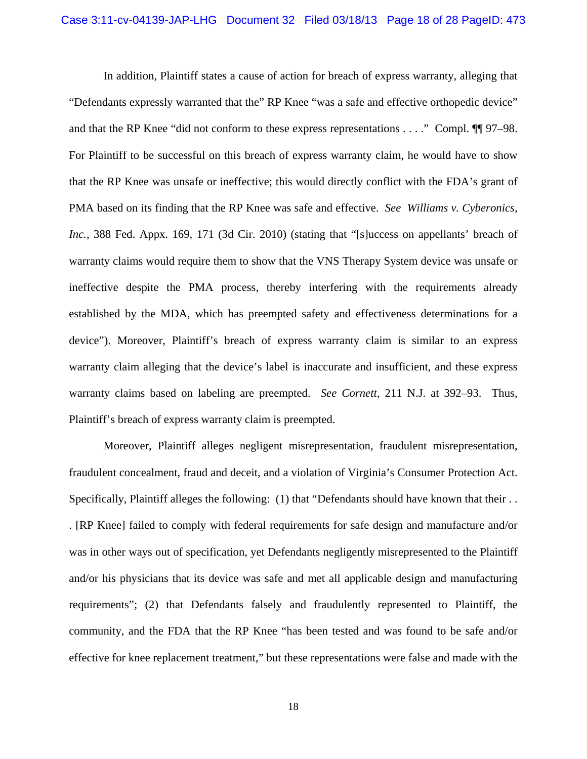In addition, Plaintiff states a cause of action for breach of express warranty, alleging that "Defendants expressly warranted that the" RP Knee "was a safe and effective orthopedic device" and that the RP Knee "did not conform to these express representations . . . ." Compl. ¶¶ 97–98. For Plaintiff to be successful on this breach of express warranty claim, he would have to show that the RP Knee was unsafe or ineffective; this would directly conflict with the FDA's grant of PMA based on its finding that the RP Knee was safe and effective. *See Williams v. Cyberonics, Inc.*, 388 Fed. Appx. 169, 171 (3d Cir. 2010) (stating that "[s]uccess on appellants' breach of warranty claims would require them to show that the VNS Therapy System device was unsafe or ineffective despite the PMA process, thereby interfering with the requirements already established by the MDA, which has preempted safety and effectiveness determinations for a device"). Moreover, Plaintiff's breach of express warranty claim is similar to an express warranty claim alleging that the device's label is inaccurate and insufficient, and these express warranty claims based on labeling are preempted. *See Cornett*, 211 N.J. at 392–93. Thus, Plaintiff's breach of express warranty claim is preempted.

Moreover, Plaintiff alleges negligent misrepresentation, fraudulent misrepresentation, fraudulent concealment, fraud and deceit, and a violation of Virginia's Consumer Protection Act. Specifically, Plaintiff alleges the following: (1) that "Defendants should have known that their ... . [RP Knee] failed to comply with federal requirements for safe design and manufacture and/or was in other ways out of specification, yet Defendants negligently misrepresented to the Plaintiff and/or his physicians that its device was safe and met all applicable design and manufacturing requirements"; (2) that Defendants falsely and fraudulently represented to Plaintiff, the community, and the FDA that the RP Knee "has been tested and was found to be safe and/or effective for knee replacement treatment," but these representations were false and made with the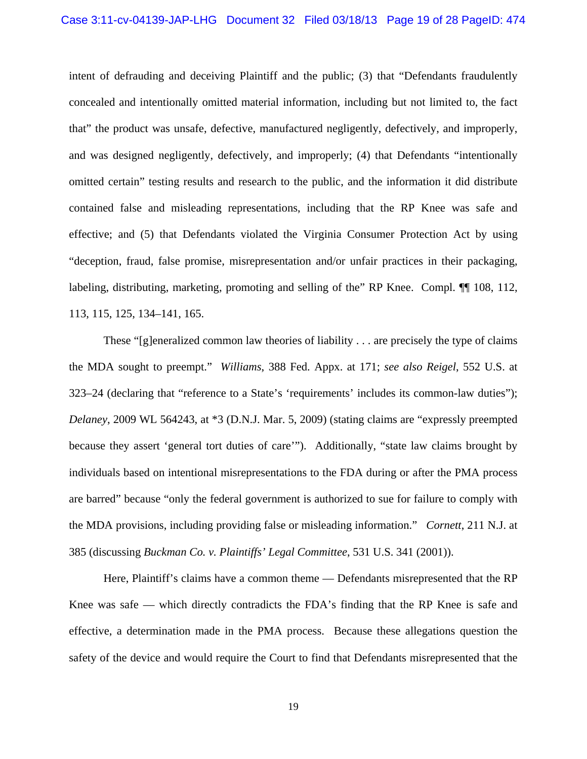intent of defrauding and deceiving Plaintiff and the public; (3) that "Defendants fraudulently concealed and intentionally omitted material information, including but not limited to, the fact that" the product was unsafe, defective, manufactured negligently, defectively, and improperly, and was designed negligently, defectively, and improperly; (4) that Defendants "intentionally omitted certain" testing results and research to the public, and the information it did distribute contained false and misleading representations, including that the RP Knee was safe and effective; and (5) that Defendants violated the Virginia Consumer Protection Act by using "deception, fraud, false promise, misrepresentation and/or unfair practices in their packaging, labeling, distributing, marketing, promoting and selling of the" RP Knee. Compl. ¶¶ 108, 112, 113, 115, 125, 134–141, 165.

These "[g]eneralized common law theories of liability . . . are precisely the type of claims the MDA sought to preempt." *Williams*, 388 Fed. Appx. at 171; *see also Reigel*, 552 U.S. at 323–24 (declaring that "reference to a State's 'requirements' includes its common-law duties"); *Delaney*, 2009 WL 564243, at \*3 (D.N.J. Mar. 5, 2009) (stating claims are "expressly preempted because they assert 'general tort duties of care'"). Additionally, "state law claims brought by individuals based on intentional misrepresentations to the FDA during or after the PMA process are barred" because "only the federal government is authorized to sue for failure to comply with the MDA provisions, including providing false or misleading information." *Cornett*, 211 N.J. at 385 (discussing *Buckman Co. v. Plaintiffs' Legal Committee*, 531 U.S. 341 (2001)).

Here, Plaintiff's claims have a common theme — Defendants misrepresented that the RP Knee was safe — which directly contradicts the FDA's finding that the RP Knee is safe and effective, a determination made in the PMA process. Because these allegations question the safety of the device and would require the Court to find that Defendants misrepresented that the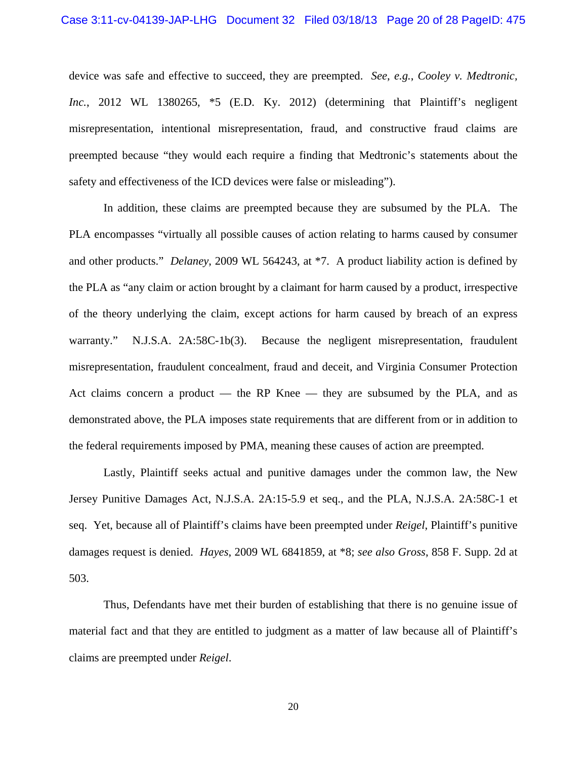device was safe and effective to succeed, they are preempted. *See*, *e.g.*, *Cooley v. Medtronic, Inc.*, 2012 WL 1380265, \*5 (E.D. Ky. 2012) (determining that Plaintiff's negligent misrepresentation, intentional misrepresentation, fraud, and constructive fraud claims are preempted because "they would each require a finding that Medtronic's statements about the safety and effectiveness of the ICD devices were false or misleading").

In addition, these claims are preempted because they are subsumed by the PLA. The PLA encompasses "virtually all possible causes of action relating to harms caused by consumer and other products." *Delaney*, 2009 WL 564243, at \*7. A product liability action is defined by the PLA as "any claim or action brought by a claimant for harm caused by a product, irrespective of the theory underlying the claim, except actions for harm caused by breach of an express warranty." N.J.S.A. 2A:58C-1b(3). Because the negligent misrepresentation, fraudulent misrepresentation, fraudulent concealment, fraud and deceit, and Virginia Consumer Protection Act claims concern a product — the RP Knee — they are subsumed by the PLA, and as demonstrated above, the PLA imposes state requirements that are different from or in addition to the federal requirements imposed by PMA, meaning these causes of action are preempted.

Lastly, Plaintiff seeks actual and punitive damages under the common law, the New Jersey Punitive Damages Act, N.J.S.A. 2A:15-5.9 et seq., and the PLA, N.J.S.A. 2A:58C-1 et seq. Yet, because all of Plaintiff's claims have been preempted under *Reigel*, Plaintiff's punitive damages request is denied. *Hayes*, 2009 WL 6841859, at \*8; *see also Gross*, 858 F. Supp. 2d at 503.

Thus, Defendants have met their burden of establishing that there is no genuine issue of material fact and that they are entitled to judgment as a matter of law because all of Plaintiff's claims are preempted under *Reigel*.

20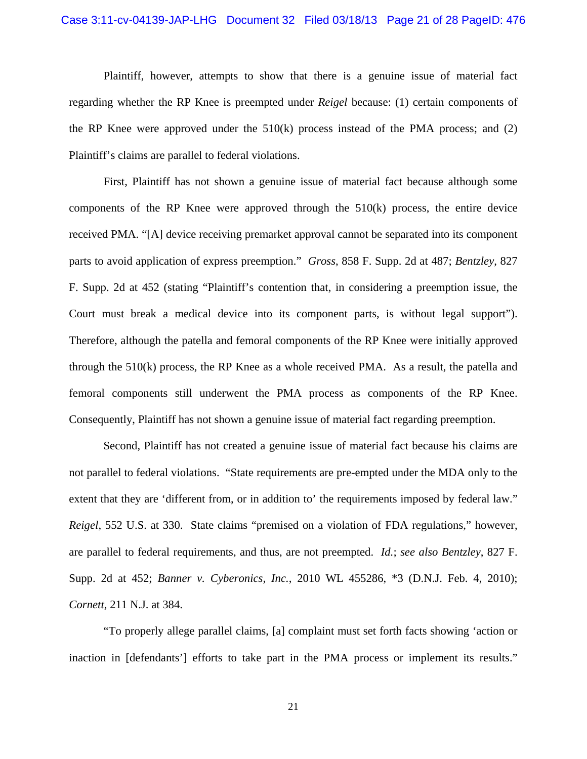# Case 3:11-cv-04139-JAP-LHG Document 32 Filed 03/18/13 Page 21 of 28 PageID: 476

Plaintiff, however, attempts to show that there is a genuine issue of material fact regarding whether the RP Knee is preempted under *Reigel* because: (1) certain components of the RP Knee were approved under the  $510(k)$  process instead of the PMA process; and (2) Plaintiff's claims are parallel to federal violations.

First, Plaintiff has not shown a genuine issue of material fact because although some components of the RP Knee were approved through the 510(k) process, the entire device received PMA. "[A] device receiving premarket approval cannot be separated into its component parts to avoid application of express preemption." *Gross*, 858 F. Supp. 2d at 487; *Bentzley*, 827 F. Supp. 2d at 452 (stating "Plaintiff's contention that, in considering a preemption issue, the Court must break a medical device into its component parts, is without legal support"). Therefore, although the patella and femoral components of the RP Knee were initially approved through the 510(k) process, the RP Knee as a whole received PMA. As a result, the patella and femoral components still underwent the PMA process as components of the RP Knee. Consequently, Plaintiff has not shown a genuine issue of material fact regarding preemption.

Second, Plaintiff has not created a genuine issue of material fact because his claims are not parallel to federal violations. "State requirements are pre-empted under the MDA only to the extent that they are 'different from, or in addition to' the requirements imposed by federal law." *Reigel*, 552 U.S. at 330. State claims "premised on a violation of FDA regulations," however, are parallel to federal requirements, and thus, are not preempted. *Id.*; *see also Bentzley*, 827 F. Supp. 2d at 452; *Banner v. Cyberonics, Inc.*, 2010 WL 455286, \*3 (D.N.J. Feb. 4, 2010); *Cornett*, 211 N.J. at 384.

"To properly allege parallel claims, [a] complaint must set forth facts showing 'action or inaction in [defendants'] efforts to take part in the PMA process or implement its results."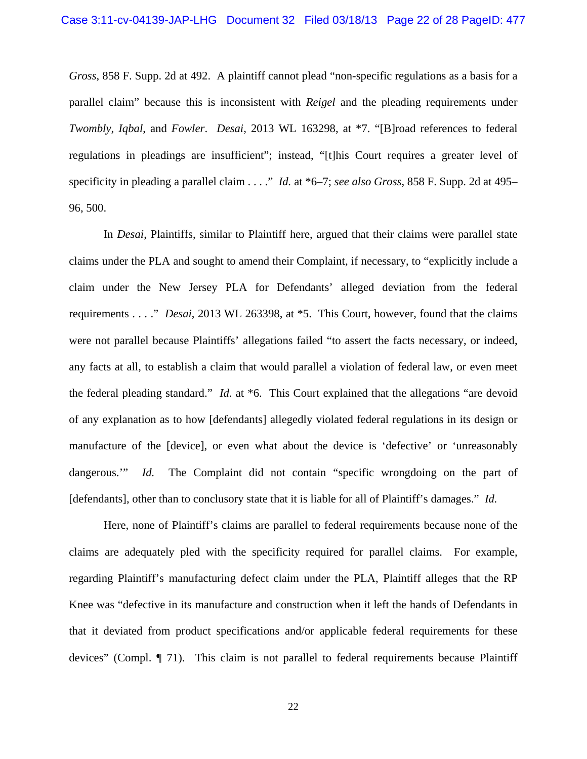*Gross*, 858 F. Supp. 2d at 492. A plaintiff cannot plead "non-specific regulations as a basis for a parallel claim" because this is inconsistent with *Reigel* and the pleading requirements under *Twombly*, *Iqbal*, and *Fowler*. *Desai*, 2013 WL 163298, at \*7. "[B]road references to federal regulations in pleadings are insufficient"; instead, "[t]his Court requires a greater level of specificity in pleading a parallel claim . . . ." *Id.* at \*6–7; *see also Gross*, 858 F. Supp. 2d at 495– 96, 500.

In *Desai*, Plaintiffs, similar to Plaintiff here, argued that their claims were parallel state claims under the PLA and sought to amend their Complaint, if necessary, to "explicitly include a claim under the New Jersey PLA for Defendants' alleged deviation from the federal requirements . . . ." *Desai*, 2013 WL 263398, at \*5. This Court, however, found that the claims were not parallel because Plaintiffs' allegations failed "to assert the facts necessary, or indeed, any facts at all, to establish a claim that would parallel a violation of federal law, or even meet the federal pleading standard." *Id.* at \*6. This Court explained that the allegations "are devoid of any explanation as to how [defendants] allegedly violated federal regulations in its design or manufacture of the [device], or even what about the device is 'defective' or 'unreasonably dangerous." *Id.* The Complaint did not contain "specific wrongdoing on the part of [defendants], other than to conclusory state that it is liable for all of Plaintiff's damages." *Id.*

Here, none of Plaintiff's claims are parallel to federal requirements because none of the claims are adequately pled with the specificity required for parallel claims. For example, regarding Plaintiff's manufacturing defect claim under the PLA, Plaintiff alleges that the RP Knee was "defective in its manufacture and construction when it left the hands of Defendants in that it deviated from product specifications and/or applicable federal requirements for these devices" (Compl. ¶ 71). This claim is not parallel to federal requirements because Plaintiff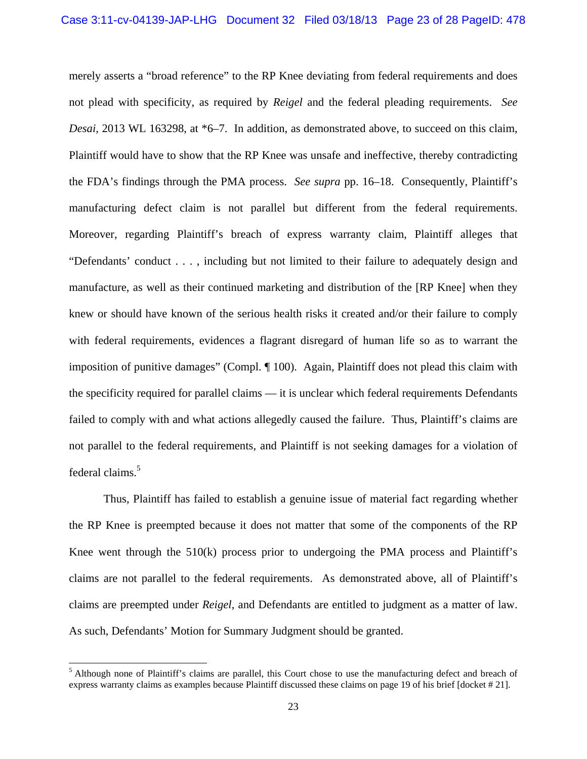merely asserts a "broad reference" to the RP Knee deviating from federal requirements and does not plead with specificity, as required by *Reigel* and the federal pleading requirements. *See Desai*, 2013 WL 163298, at \*6–7. In addition, as demonstrated above, to succeed on this claim, Plaintiff would have to show that the RP Knee was unsafe and ineffective, thereby contradicting the FDA's findings through the PMA process. *See supra* pp. 16–18. Consequently, Plaintiff's manufacturing defect claim is not parallel but different from the federal requirements. Moreover, regarding Plaintiff's breach of express warranty claim, Plaintiff alleges that "Defendants' conduct . . . , including but not limited to their failure to adequately design and manufacture, as well as their continued marketing and distribution of the [RP Knee] when they knew or should have known of the serious health risks it created and/or their failure to comply with federal requirements, evidences a flagrant disregard of human life so as to warrant the imposition of punitive damages" (Compl. ¶ 100). Again, Plaintiff does not plead this claim with the specificity required for parallel claims — it is unclear which federal requirements Defendants failed to comply with and what actions allegedly caused the failure. Thus, Plaintiff's claims are not parallel to the federal requirements, and Plaintiff is not seeking damages for a violation of federal claims.<sup>5</sup>

Thus, Plaintiff has failed to establish a genuine issue of material fact regarding whether the RP Knee is preempted because it does not matter that some of the components of the RP Knee went through the 510(k) process prior to undergoing the PMA process and Plaintiff's claims are not parallel to the federal requirements. As demonstrated above, all of Plaintiff's claims are preempted under *Reigel*, and Defendants are entitled to judgment as a matter of law. As such, Defendants' Motion for Summary Judgment should be granted.

l

<sup>&</sup>lt;sup>5</sup> Although none of Plaintiff's claims are parallel, this Court chose to use the manufacturing defect and breach of express warranty claims as examples because Plaintiff discussed these claims on page 19 of his brief [docket # 21].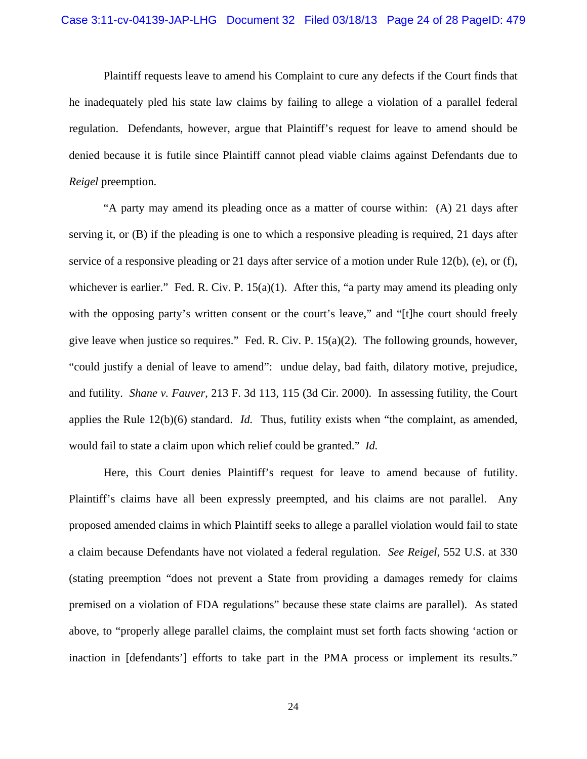Plaintiff requests leave to amend his Complaint to cure any defects if the Court finds that he inadequately pled his state law claims by failing to allege a violation of a parallel federal regulation. Defendants, however, argue that Plaintiff's request for leave to amend should be denied because it is futile since Plaintiff cannot plead viable claims against Defendants due to *Reigel* preemption.

"A party may amend its pleading once as a matter of course within: (A) 21 days after serving it, or (B) if the pleading is one to which a responsive pleading is required, 21 days after service of a responsive pleading or 21 days after service of a motion under Rule 12(b), (e), or (f), whichever is earlier." Fed. R. Civ. P. 15(a)(1). After this, "a party may amend its pleading only with the opposing party's written consent or the court's leave," and "[t]he court should freely give leave when justice so requires." Fed. R. Civ. P.  $15(a)(2)$ . The following grounds, however, "could justify a denial of leave to amend": undue delay, bad faith, dilatory motive, prejudice, and futility. *Shane v. Fauver*, 213 F. 3d 113, 115 (3d Cir. 2000). In assessing futility, the Court applies the Rule 12(b)(6) standard. *Id.* Thus, futility exists when "the complaint, as amended, would fail to state a claim upon which relief could be granted." *Id.*

Here, this Court denies Plaintiff's request for leave to amend because of futility. Plaintiff's claims have all been expressly preempted, and his claims are not parallel. Any proposed amended claims in which Plaintiff seeks to allege a parallel violation would fail to state a claim because Defendants have not violated a federal regulation. *See Reigel*, 552 U.S. at 330 (stating preemption "does not prevent a State from providing a damages remedy for claims premised on a violation of FDA regulations" because these state claims are parallel). As stated above, to "properly allege parallel claims, the complaint must set forth facts showing 'action or inaction in [defendants'] efforts to take part in the PMA process or implement its results."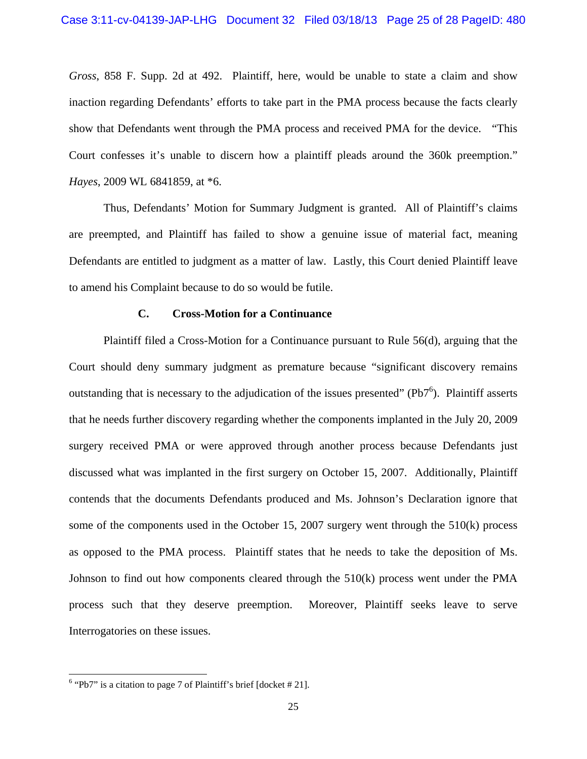*Gross*, 858 F. Supp. 2d at 492. Plaintiff, here, would be unable to state a claim and show inaction regarding Defendants' efforts to take part in the PMA process because the facts clearly show that Defendants went through the PMA process and received PMA for the device. "This Court confesses it's unable to discern how a plaintiff pleads around the 360k preemption." *Hayes*, 2009 WL 6841859, at \*6.

Thus, Defendants' Motion for Summary Judgment is granted. All of Plaintiff's claims are preempted, and Plaintiff has failed to show a genuine issue of material fact, meaning Defendants are entitled to judgment as a matter of law. Lastly, this Court denied Plaintiff leave to amend his Complaint because to do so would be futile.

## **C. Cross-Motion for a Continuance**

Plaintiff filed a Cross-Motion for a Continuance pursuant to Rule 56(d), arguing that the Court should deny summary judgment as premature because "significant discovery remains outstanding that is necessary to the adjudication of the issues presented" ( $Pb7<sup>6</sup>$ ). Plaintiff asserts that he needs further discovery regarding whether the components implanted in the July 20, 2009 surgery received PMA or were approved through another process because Defendants just discussed what was implanted in the first surgery on October 15, 2007. Additionally, Plaintiff contends that the documents Defendants produced and Ms. Johnson's Declaration ignore that some of the components used in the October 15, 2007 surgery went through the 510(k) process as opposed to the PMA process. Plaintiff states that he needs to take the deposition of Ms. Johnson to find out how components cleared through the  $510(k)$  process went under the PMA process such that they deserve preemption. Moreover, Plaintiff seeks leave to serve Interrogatories on these issues.

l

 $6$  "Pb7" is a citation to page 7 of Plaintiff's brief [docket #21].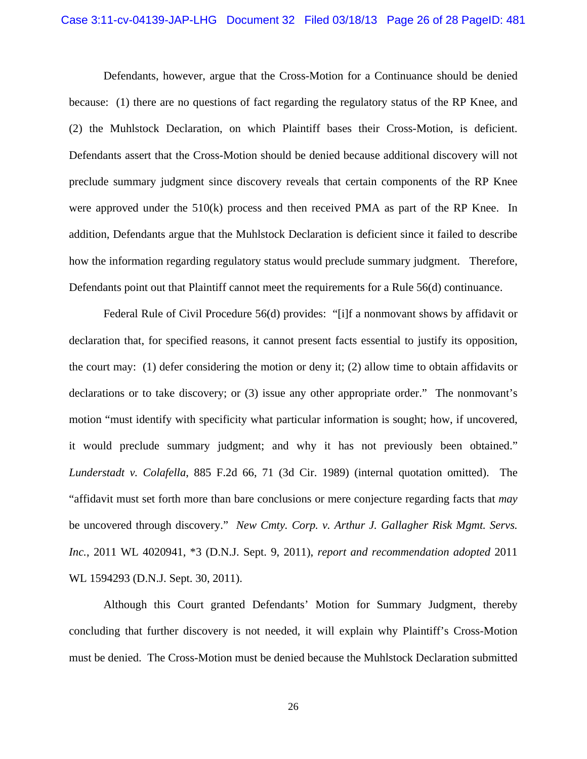#### Case 3:11-cv-04139-JAP-LHG Document 32 Filed 03/18/13 Page 26 of 28 PageID: 481

Defendants, however, argue that the Cross-Motion for a Continuance should be denied because: (1) there are no questions of fact regarding the regulatory status of the RP Knee, and (2) the Muhlstock Declaration, on which Plaintiff bases their Cross-Motion, is deficient. Defendants assert that the Cross-Motion should be denied because additional discovery will not preclude summary judgment since discovery reveals that certain components of the RP Knee were approved under the  $510(k)$  process and then received PMA as part of the RP Knee. In addition, Defendants argue that the Muhlstock Declaration is deficient since it failed to describe how the information regarding regulatory status would preclude summary judgment. Therefore, Defendants point out that Plaintiff cannot meet the requirements for a Rule 56(d) continuance.

Federal Rule of Civil Procedure 56(d) provides: "[i]f a nonmovant shows by affidavit or declaration that, for specified reasons, it cannot present facts essential to justify its opposition, the court may: (1) defer considering the motion or deny it; (2) allow time to obtain affidavits or declarations or to take discovery; or (3) issue any other appropriate order." The nonmovant's motion "must identify with specificity what particular information is sought; how, if uncovered, it would preclude summary judgment; and why it has not previously been obtained." *Lunderstadt v. Colafella*, 885 F.2d 66, 71 (3d Cir. 1989) (internal quotation omitted). The "affidavit must set forth more than bare conclusions or mere conjecture regarding facts that *may* be uncovered through discovery." *New Cmty. Corp. v. Arthur J. Gallagher Risk Mgmt. Servs. Inc.*, 2011 WL 4020941, \*3 (D.N.J. Sept. 9, 2011), *report and recommendation adopted* 2011 WL 1594293 (D.N.J. Sept. 30, 2011).

Although this Court granted Defendants' Motion for Summary Judgment, thereby concluding that further discovery is not needed, it will explain why Plaintiff's Cross-Motion must be denied. The Cross-Motion must be denied because the Muhlstock Declaration submitted

26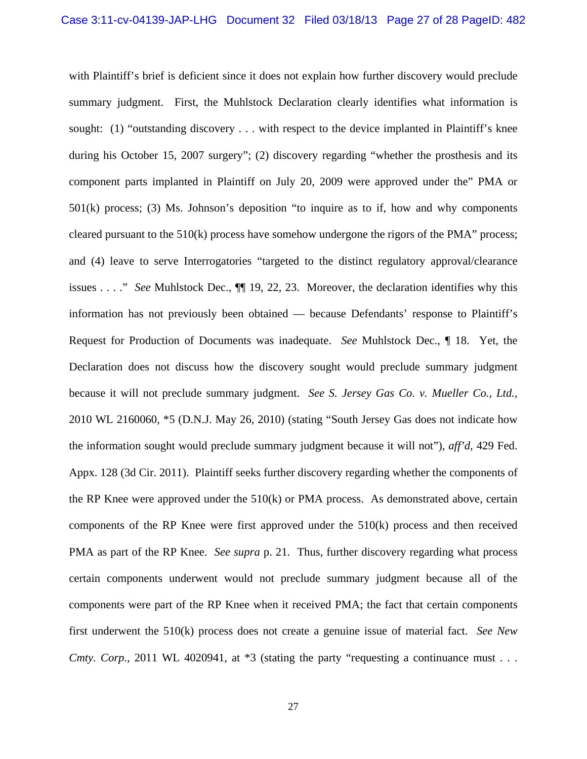with Plaintiff's brief is deficient since it does not explain how further discovery would preclude summary judgment. First, the Muhlstock Declaration clearly identifies what information is sought: (1) "outstanding discovery . . . with respect to the device implanted in Plaintiff's knee during his October 15, 2007 surgery"; (2) discovery regarding "whether the prosthesis and its component parts implanted in Plaintiff on July 20, 2009 were approved under the" PMA or 501(k) process; (3) Ms. Johnson's deposition "to inquire as to if, how and why components cleared pursuant to the 510(k) process have somehow undergone the rigors of the PMA" process; and (4) leave to serve Interrogatories "targeted to the distinct regulatory approval/clearance issues . . . ." *See* Muhlstock Dec., ¶¶ 19, 22, 23. Moreover, the declaration identifies why this information has not previously been obtained — because Defendants' response to Plaintiff's Request for Production of Documents was inadequate. *See* Muhlstock Dec., ¶ 18. Yet, the Declaration does not discuss how the discovery sought would preclude summary judgment because it will not preclude summary judgment. *See S. Jersey Gas Co. v. Mueller Co., Ltd.*, 2010 WL 2160060, \*5 (D.N.J. May 26, 2010) (stating "South Jersey Gas does not indicate how the information sought would preclude summary judgment because it will not"), *aff'd*, 429 Fed. Appx. 128 (3d Cir. 2011). Plaintiff seeks further discovery regarding whether the components of the RP Knee were approved under the 510(k) or PMA process. As demonstrated above, certain components of the RP Knee were first approved under the 510(k) process and then received PMA as part of the RP Knee. *See supra* p. 21. Thus, further discovery regarding what process certain components underwent would not preclude summary judgment because all of the components were part of the RP Knee when it received PMA; the fact that certain components first underwent the 510(k) process does not create a genuine issue of material fact. *See New Cmty. Corp.*, 2011 WL 4020941, at \*3 (stating the party "requesting a continuance must . . .